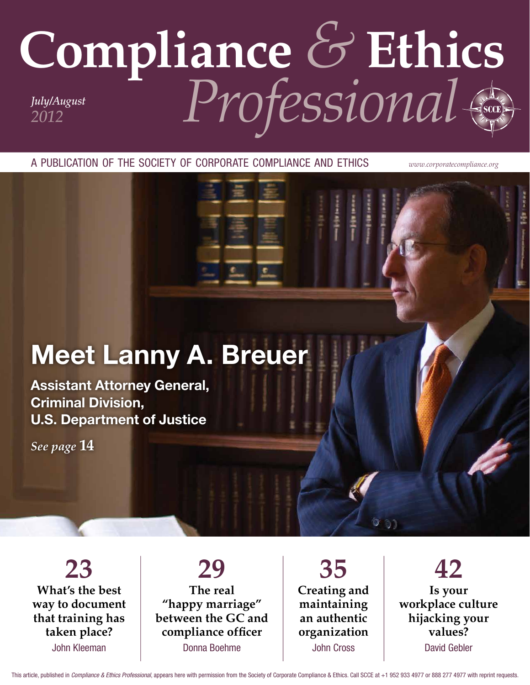# Compliance & Ethics

A PUBLICATION OF THE SOCIETY OF CORPORATE COMPLIANCE AND ETHICS

www.corporatecompliance.org

# **Meet Lanny A. Breuer**

**Assistant Attorney General, Criminal Division, U.S. Department of Justice** 

See page 14

23 What's the best way to document that training has taken place? John Kleeman

# 29 The real "happy marriage" between the GC and compliance officer Donna Boehme

35 Creating and maintaining an authentic organization **John Cross** 

42 Is vour workplace culture hijacking your values? **David Gebler** 

This article, published in Compliance & Ethics Professional, appears here with permission from the Society of Corporate Compliance & Ethics. Call SCCE at +1 952 933 4977 or 888 277 4977 with reprint requests.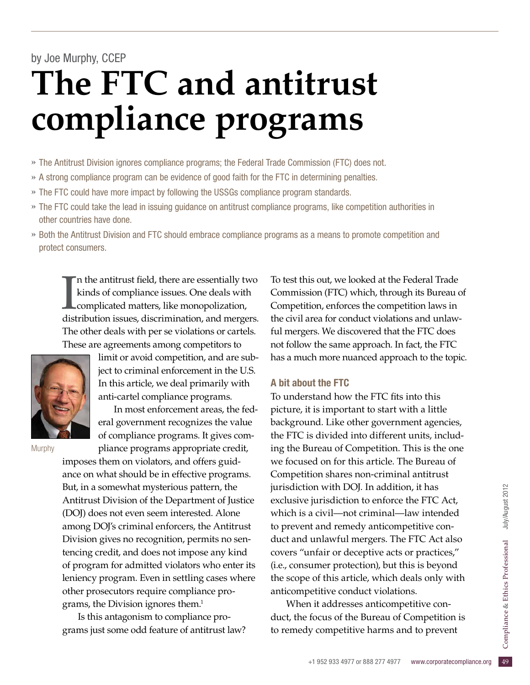# by Joe Murphy, CCEP **The FTC and antitrust compliance programs**

- » The Antitrust Division ignores compliance programs; the Federal Trade Commission (FTC) does not.
- » A strong compliance program can be evidence of good faith for the FTC in determining penalties.
- » The FTC could have more impact by following the USSGs compliance program standards.
- » The FTC could take the lead in issuing guidance on antitrust compliance programs, like competition authorities in other countries have done.
- » Both the Antitrust Division and FTC should embrace compliance programs as a means to promote competition and protect consumers.

In the antitrust field, there are essentially two<br>kinds of compliance issues. One deals with<br>complicated matters, like monopolization,<br>distribution issues, discrimination, and mergers. In the antitrust field, there are essentially two kinds of compliance issues. One deals with complicated matters, like monopolization, The other deals with per se violations or cartels. These are agreements among competitors to



limit or avoid competition, and are subject to criminal enforcement in the U.S. In this article, we deal primarily with anti-cartel compliance programs.

In most enforcement areas, the federal government recognizes the value of compliance programs. It gives compliance programs appropriate credit,

**Murphy** 

imposes them on violators, and offers guidance on what should be in effective programs. But, in a somewhat mysterious pattern, the Antitrust Division of the Department of Justice (DOJ) does not even seem interested. Alone among DOJ's criminal enforcers, the Antitrust Division gives no recognition, permits no sentencing credit, and does not impose any kind of program for admitted violators who enter its leniency program. Even in settling cases where other prosecutors require compliance programs, the Division ignores them.<sup>1</sup>

Is this antagonism to compliance programs just some odd feature of antitrust law? To test this out, we looked at the Federal Trade Commission (FTC) which, through its Bureau of Competition, enforces the competition laws in the civil area for conduct violations and unlawful mergers. We discovered that the FTC does not follow the same approach. In fact, the FTC has a much more nuanced approach to the topic.

## A bit about the FTC

To understand how the FTC fits into this picture, it is important to start with a little background. Like other government agencies, the FTC is divided into different units, including the Bureau of Competition. This is the one we focused on for this article. The Bureau of Competition shares non-criminal antitrust jurisdiction with DOJ. In addition, it has exclusive jurisdiction to enforce the FTC Act, which is a civil—not criminal—law intended to prevent and remedy anticompetitive conduct and unlawful mergers. The FTC Act also covers "unfair or deceptive acts or practices," (i.e., consumer protection), but this is beyond the scope of this article, which deals only with anticompetitive conduct violations.

duct, the focus of the Bureau of Competition is<br>to remedy competitive harms and to prevent<br> $+1$  952 933 4977 or 888 277 4977 www.corporatecompliance.org When it addresses anticompetitive conto remedy competitive harms and to prevent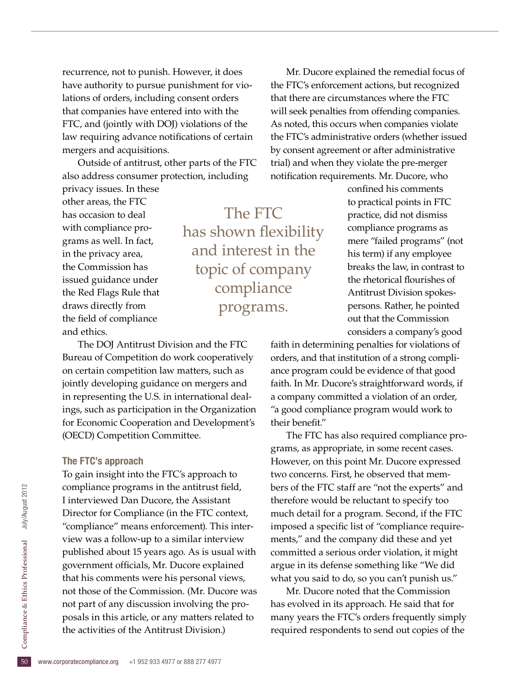recurrence, not to punish. However, it does have authority to pursue punishment for violations of orders, including consent orders that companies have entered into with the FTC, and (jointly with DOJ) violations of the law requiring advance notifications of certain mergers and acquisitions.

Outside of antitrust, other parts of the FTC also address consumer protection, including

privacy issues. In these other areas, the FTC has occasion to deal with compliance programs as well. In fact, in the privacy area, the Commission has issued guidance under the Red Flags Rule that draws directly from the field of compliance and ethics.

The FTC has shown flexibility and interest in the topic of company compliance programs.

The DOJ Antitrust Division and the FTC Bureau of Competition do work cooperatively on certain competition law matters, such as jointly developing guidance on mergers and in representing the U.S. in international dealings, such as participation in the Organization for Economic Cooperation and Development's (OECD) Competition Committee.

### The FTC's approach

posals in this article, or any matters related to<br>the activities of the Antitrust Division.)<br><sup>50</sup> www.corporatecompliance.org +1 952 933 4977 or 888 277 4977 To gain insight into the FTC's approach to compliance programs in the antitrust field, I interviewed Dan Ducore, the Assistant Director for Compliance (in the FTC context, "compliance" means enforcement). This interview was a follow-up to a similar interview published about 15 years ago. As is usual with government officials, Mr. Ducore explained that his comments were his personal views, not those of the Commission. (Mr. Ducore was not part of any discussion involving the prothe activities of the Antitrust Division.)

Mr. Ducore explained the remedial focus of the FTC's enforcement actions, but recognized that there are circumstances where the FTC will seek penalties from offending companies. As noted, this occurs when companies violate the FTC's administrative orders (whether issued by consent agreement or after administrative trial) and when they violate the pre-merger notification requirements. Mr. Ducore, who

> confined his comments to practical points in FTC practice, did not dismiss compliance programs as mere "failed programs" (not his term) if any employee breaks the law, in contrast to the rhetorical flourishes of Antitrust Division spokespersons. Rather, he pointed out that the Commission considers a company's good

faith in determining penalties for violations of orders, and that institution of a strong compliance program could be evidence of that good faith. In Mr. Ducore's straightforward words, if a company committed a violation of an order, "a good compliance program would work to their benefit."

The FTC has also required compliance programs, as appropriate, in some recent cases. However, on this point Mr. Ducore expressed two concerns. First, he observed that members of the FTC staff are "not the experts" and therefore would be reluctant to specify too much detail for a program. Second, if the FTC imposed a specific list of "compliance requirements," and the company did these and yet committed a serious order violation, it might argue in its defense something like "We did what you said to do, so you can't punish us."

Mr. Ducore noted that the Commission has evolved in its approach. He said that for many years the FTC's orders frequently simply required respondents to send out copies of the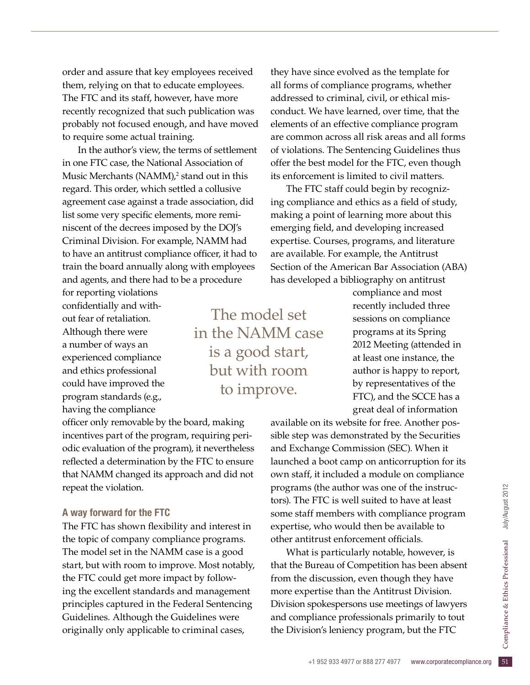order and assure that key employees received them, relying on that to educate employees. The FTC and its staff, however, have more recently recognized that such publication was probably not focused enough, and have moved to require some actual training.

In the author's view, the terms of settlement in one FTC case, the National Association of Music Merchants (NAMM),<sup>2</sup> stand out in this regard. This order, which settled a collusive agreement case against a trade association, did list some very specific elements, more reminiscent of the decrees imposed by the DOJ's Criminal Division. For example, NAMM had to have an antitrust compliance officer, it had to train the board annually along with employees and agents, and there had to be a procedure

for reporting violations confidentially and without fear of retaliation. Although there were a number of ways an experienced compliance and ethics professional could have improved the program standards (e.g., having the compliance

officer only removable by the board, making incentives part of the program, requiring periodic evaluation of the program), it nevertheless reflected a determination by the FTC to ensure that NAMM changed its approach and did not repeat the violation.

### A way forward for the FTC

The FTC has shown flexibility and interest in the topic of company compliance programs. The model set in the NAMM case is a good start, but with room to improve. Most notably, the FTC could get more impact by following the excellent standards and management principles captured in the Federal Sentencing Guidelines. Although the Guidelines were originally only applicable to criminal cases,

they have since evolved as the template for all forms of compliance programs, whether addressed to criminal, civil, or ethical misconduct. We have learned, over time, that the elements of an effective compliance program are common across all risk areas and all forms of violations. The Sentencing Guidelines thus offer the best model for the FTC, even though its enforcement is limited to civil matters.

The FTC staff could begin by recognizing compliance and ethics as a field of study, making a point of learning more about this emerging field, and developing increased expertise. Courses, programs, and literature are available. For example, the Antitrust Section of the American Bar Association (ABA) has developed a bibliography on antitrust

> compliance and most recently included three sessions on compliance programs at its Spring 2012 Meeting (attended in at least one instance, the author is happy to report, by representatives of the FTC), and the SCCE has a great deal of information

available on its website for free. Another possible step was demonstrated by the Securities and Exchange Commission (SEC). When it launched a boot camp on anticorruption for its own staff, it included a module on compliance programs (the author was one of the instructors). The FTC is well suited to have at least some staff members with compliance program expertise, who would then be available to other antitrust enforcement officials.

and compliance professionals primarily to tout<br>the Division's leniency program, but the FTC<br><sup>+1 952 933 4977 or 888 277 4977</sup> www.corporatecompliance.org 51 What is particularly notable, however, is that the Bureau of Competition has been absent from the discussion, even though they have more expertise than the Antitrust Division. Division spokespersons use meetings of lawyers the Division's leniency program, but the FTC

The model set in the NAMM case is a good start, but with room to improve.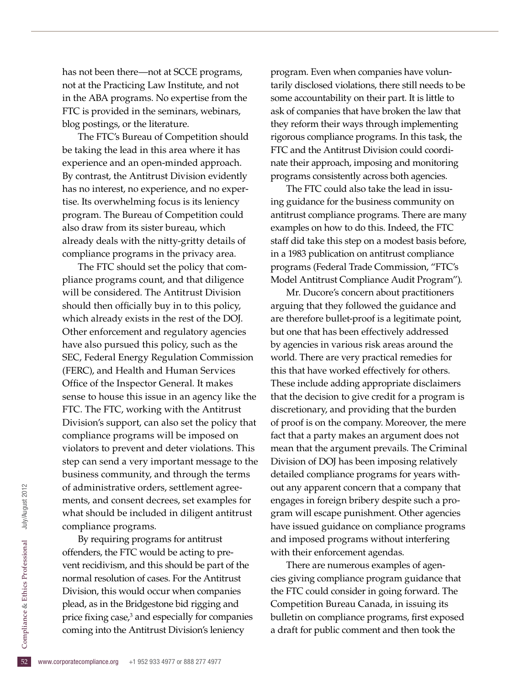has not been there—not at SCCE programs, not at the Practicing Law Institute, and not in the ABA programs. No expertise from the FTC is provided in the seminars, webinars, blog postings, or the literature.

The FTC's Bureau of Competition should be taking the lead in this area where it has experience and an open-minded approach. By contrast, the Antitrust Division evidently has no interest, no experience, and no expertise. Its overwhelming focus is its leniency program. The Bureau of Competition could also draw from its sister bureau, which already deals with the nitty-gritty details of compliance programs in the privacy area.

The FTC should set the policy that compliance programs count, and that diligence will be considered. The Antitrust Division should then officially buy in to this policy, which already exists in the rest of the DOJ. Other enforcement and regulatory agencies have also pursued this policy, such as the SEC, Federal Energy Regulation Commission (FERC), and Health and Human Services Office of the Inspector General. It makes sense to house this issue in an agency like the FTC. The FTC, working with the Antitrust Division's support, can also set the policy that compliance programs will be imposed on violators to prevent and deter violations. This step can send a very important message to the business community, and through the terms of administrative orders, settlement agreements, and consent decrees, set examples for what should be included in diligent antitrust compliance programs.

price fixing case,<sup>3</sup> and especially for companies<br>
coming into the Antitrust Division's leniency<br>
<sup>52</sup> www.corporatecompliance.org +1 952 933 4977 or 888 277 4977 By requiring programs for antitrust offenders, the FTC would be acting to prevent recidivism, and this should be part of the normal resolution of cases. For the Antitrust Division, this would occur when companies plead, as in the Bridgestone bid rigging and coming into the Antitrust Division's leniency

program. Even when companies have voluntarily disclosed violations, there still needs to be some accountability on their part. It is little to ask of companies that have broken the law that they reform their ways through implementing rigorous compliance programs. In this task, the FTC and the Antitrust Division could coordinate their approach, imposing and monitoring programs consistently across both agencies.

The FTC could also take the lead in issuing guidance for the business community on antitrust compliance programs. There are many examples on how to do this. Indeed, the FTC staff did take this step on a modest basis before, in a 1983 publication on antitrust compliance programs (Federal Trade Commission, "FTC's Model Antitrust Compliance Audit Program").

Mr. Ducore's concern about practitioners arguing that they followed the guidance and are therefore bullet-proof is a legitimate point, but one that has been effectively addressed by agencies in various risk areas around the world. There are very practical remedies for this that have worked effectively for others. These include adding appropriate disclaimers that the decision to give credit for a program is discretionary, and providing that the burden of proof is on the company. Moreover, the mere fact that a party makes an argument does not mean that the argument prevails. The Criminal Division of DOJ has been imposing relatively detailed compliance programs for years without any apparent concern that a company that engages in foreign bribery despite such a program will escape punishment. Other agencies have issued guidance on compliance programs and imposed programs without interfering with their enforcement agendas.

There are numerous examples of agencies giving compliance program guidance that the FTC could consider in going forward. The Competition Bureau Canada, in issuing its bulletin on compliance programs, first exposed a draft for public comment and then took the